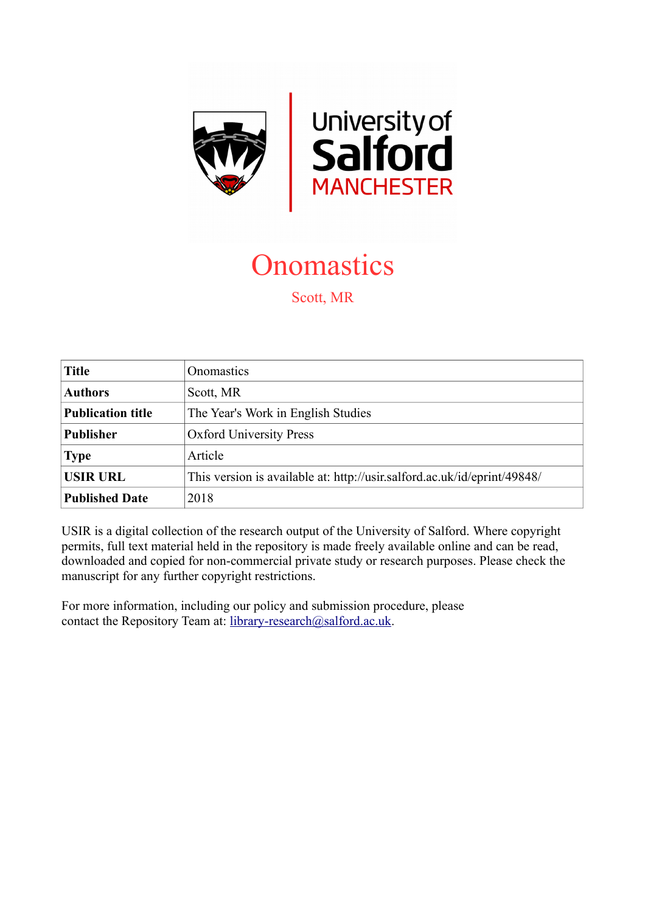

**Onomastics** 

Scott, MR

| <b>Title</b>             | Onomastics                                                               |
|--------------------------|--------------------------------------------------------------------------|
| <b>Authors</b>           | Scott, MR                                                                |
| <b>Publication title</b> | The Year's Work in English Studies                                       |
| <b>Publisher</b>         | <b>Oxford University Press</b>                                           |
| <b>Type</b>              | Article                                                                  |
| <b>USIR URL</b>          | This version is available at: http://usir.salford.ac.uk/id/eprint/49848/ |
| <b>Published Date</b>    | 2018                                                                     |

USIR is a digital collection of the research output of the University of Salford. Where copyright permits, full text material held in the repository is made freely available online and can be read, downloaded and copied for non-commercial private study or research purposes. Please check the manuscript for any further copyright restrictions.

For more information, including our policy and submission procedure, please contact the Repository Team at: [library-research@salford.ac.uk.](mailto:library-research@salford.ac.uk)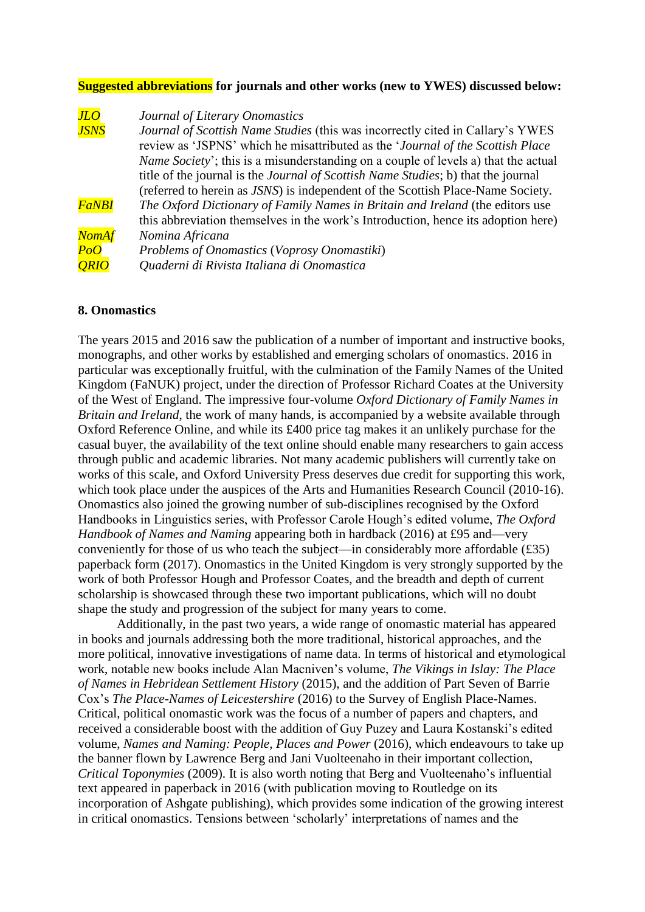## **Suggested abbreviations for journals and other works (new to YWES) discussed below:**

| JLO              | Journal of Literary Onomastics                                                             |
|------------------|--------------------------------------------------------------------------------------------|
| <b>JSNS</b>      | Journal of Scottish Name Studies (this was incorrectly cited in Callary's YWES             |
|                  | review as 'JSPNS' which he misattributed as the 'Journal of the Scottish Place             |
|                  | <i>Name Society'</i> ; this is a misunderstanding on a couple of levels a) that the actual |
|                  | title of the journal is the <i>Journal of Scottish Name Studies</i> ; b) that the journal  |
|                  | (referred to herein as JSNS) is independent of the Scottish Place-Name Society.            |
| <b>FaNBI</b>     | The Oxford Dictionary of Family Names in Britain and Ireland (the editors use              |
|                  | this abbreviation themselves in the work's Introduction, hence its adoption here)          |
| <b>NomAf</b>     | Nomina Africana                                                                            |
| $\overline{PoO}$ | Problems of Onomastics (Voprosy Onomastiki)                                                |
| <b>ORIO</b>      | Quaderni di Rivista Italiana di Onomastica                                                 |

## **8. Onomastics**

The years 2015 and 2016 saw the publication of a number of important and instructive books, monographs, and other works by established and emerging scholars of onomastics. 2016 in particular was exceptionally fruitful, with the culmination of the Family Names of the United Kingdom (FaNUK) project, under the direction of Professor Richard Coates at the University of the West of England. The impressive four-volume *Oxford Dictionary of Family Names in Britain and Ireland*, the work of many hands, is accompanied by a website available through Oxford Reference Online, and while its £400 price tag makes it an unlikely purchase for the casual buyer, the availability of the text online should enable many researchers to gain access through public and academic libraries. Not many academic publishers will currently take on works of this scale, and Oxford University Press deserves due credit for supporting this work, which took place under the auspices of the Arts and Humanities Research Council (2010-16). Onomastics also joined the growing number of sub-disciplines recognised by the Oxford Handbooks in Linguistics series, with Professor Carole Hough's edited volume, *The Oxford Handbook of Names and Naming* appearing both in hardback (2016) at £95 and—very conveniently for those of us who teach the subject—in considerably more affordable (£35) paperback form (2017). Onomastics in the United Kingdom is very strongly supported by the work of both Professor Hough and Professor Coates, and the breadth and depth of current scholarship is showcased through these two important publications, which will no doubt shape the study and progression of the subject for many years to come.

Additionally, in the past two years, a wide range of onomastic material has appeared in books and journals addressing both the more traditional, historical approaches, and the more political, innovative investigations of name data. In terms of historical and etymological work, notable new books include Alan Macniven's volume, *The Vikings in Islay: The Place of Names in Hebridean Settlement History* (2015), and the addition of Part Seven of Barrie Cox's *The Place-Names of Leicestershire* (2016) to the Survey of English Place-Names. Critical, political onomastic work was the focus of a number of papers and chapters, and received a considerable boost with the addition of Guy Puzey and Laura Kostanski's edited volume, *Names and Naming: People, Places and Power* (2016), which endeavours to take up the banner flown by Lawrence Berg and Jani Vuolteenaho in their important collection, *Critical Toponymies* (2009). It is also worth noting that Berg and Vuolteenaho's influential text appeared in paperback in 2016 (with publication moving to Routledge on its incorporation of Ashgate publishing), which provides some indication of the growing interest in critical onomastics. Tensions between 'scholarly' interpretations of names and the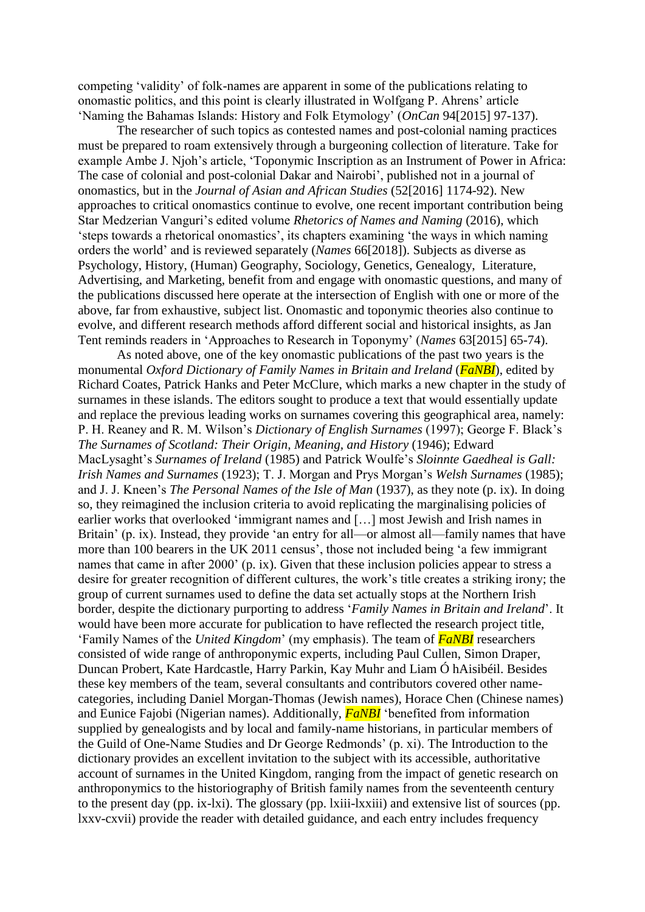competing 'validity' of folk-names are apparent in some of the publications relating to onomastic politics, and this point is clearly illustrated in Wolfgang P. Ahrens' article 'Naming the Bahamas Islands: History and Folk Etymology' (*OnCan* 94[2015] 97-137).

The researcher of such topics as contested names and post-colonial naming practices must be prepared to roam extensively through a burgeoning collection of literature. Take for example Ambe J. Njoh's article, 'Toponymic Inscription as an Instrument of Power in Africa: The case of colonial and post-colonial Dakar and Nairobi', published not in a journal of onomastics, but in the *Journal of Asian and African Studies* (52[2016] 1174-92). New approaches to critical onomastics continue to evolve, one recent important contribution being Star Medzerian Vanguri's edited volume *Rhetorics of Names and Naming* (2016), which 'steps towards a rhetorical onomastics', its chapters examining 'the ways in which naming orders the world' and is reviewed separately (*Names* 66[2018]). Subjects as diverse as Psychology, History, (Human) Geography, Sociology, Genetics, Genealogy, Literature, Advertising, and Marketing, benefit from and engage with onomastic questions, and many of the publications discussed here operate at the intersection of English with one or more of the above, far from exhaustive, subject list. Onomastic and toponymic theories also continue to evolve, and different research methods afford different social and historical insights, as Jan Tent reminds readers in 'Approaches to Research in Toponymy' (*Names* 63[2015] 65-74).

As noted above, one of the key onomastic publications of the past two years is the monumental *Oxford Dictionary of Family Names in Britain and Ireland* (*FaNBI*), edited by Richard Coates, Patrick Hanks and Peter McClure, which marks a new chapter in the study of surnames in these islands. The editors sought to produce a text that would essentially update and replace the previous leading works on surnames covering this geographical area, namely: P. H. Reaney and R. M. Wilson's *Dictionary of English Surnames* (1997); George F. Black's *The Surnames of Scotland: Their Origin, Meaning, and History* (1946); Edward MacLysaght's *Surnames of Ireland* (1985) and Patrick Woulfe's *Sloinnte Gaedheal is Gall: Irish Names and Surnames* (1923); T. J. Morgan and Prys Morgan's *Welsh Surnames* (1985); and J. J. Kneen's *The Personal Names of the Isle of Man* (1937), as they note (p. ix). In doing so, they reimagined the inclusion criteria to avoid replicating the marginalising policies of earlier works that overlooked 'immigrant names and […] most Jewish and Irish names in Britain' (p. ix). Instead, they provide 'an entry for all—or almost all—family names that have more than 100 bearers in the UK 2011 census', those not included being 'a few immigrant names that came in after 2000' (p. ix). Given that these inclusion policies appear to stress a desire for greater recognition of different cultures, the work's title creates a striking irony; the group of current surnames used to define the data set actually stops at the Northern Irish border, despite the dictionary purporting to address '*Family Names in Britain and Ireland*'. It would have been more accurate for publication to have reflected the research project title, 'Family Names of the *United Kingdom*' (my emphasis). The team of *FaNBI* researchers consisted of wide range of anthroponymic experts, including Paul Cullen, Simon Draper, Duncan Probert, Kate Hardcastle, Harry Parkin, Kay Muhr and Liam Ó hAisibéil. Besides these key members of the team, several consultants and contributors covered other namecategories, including Daniel Morgan-Thomas (Jewish names), Horace Chen (Chinese names) and Eunice Fajobi (Nigerian names). Additionally, *FaNBI* 'benefited from information supplied by genealogists and by local and family-name historians, in particular members of the Guild of One-Name Studies and Dr George Redmonds' (p. xi). The Introduction to the dictionary provides an excellent invitation to the subject with its accessible, authoritative account of surnames in the United Kingdom, ranging from the impact of genetic research on anthroponymics to the historiography of British family names from the seventeenth century to the present day (pp. ix-lxi). The glossary (pp. lxiii-lxxiii) and extensive list of sources (pp. lxxv-cxvii) provide the reader with detailed guidance, and each entry includes frequency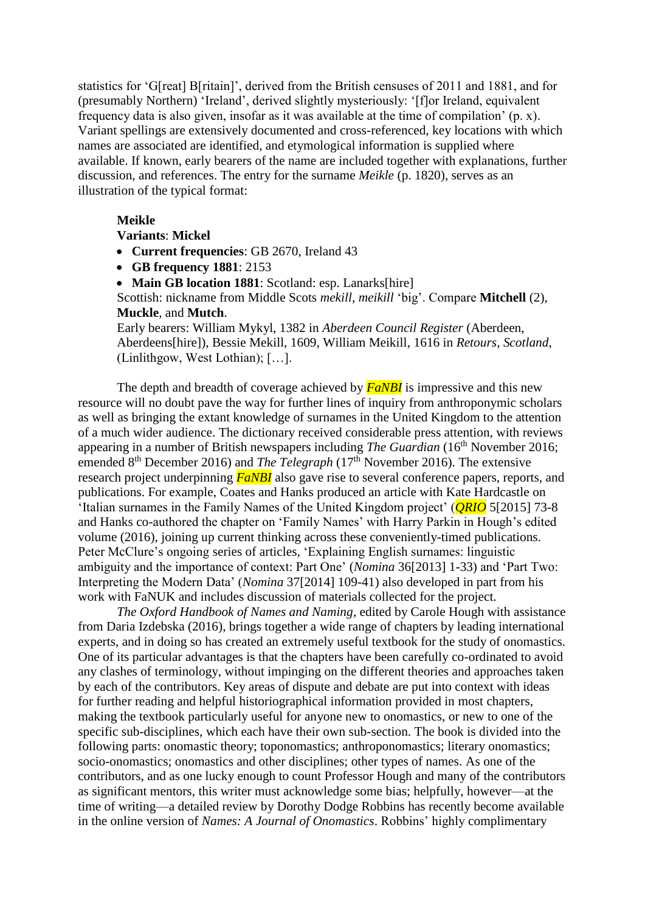statistics for 'G[reat] B[ritain]', derived from the British censuses of 2011 and 1881, and for (presumably Northern) 'Ireland', derived slightly mysteriously: '[f]or Ireland, equivalent frequency data is also given, insofar as it was available at the time of compilation' (p. x). Variant spellings are extensively documented and cross-referenced, key locations with which names are associated are identified, and etymological information is supplied where available. If known, early bearers of the name are included together with explanations, further discussion, and references. The entry for the surname *Meikle* (p. 1820), serves as an illustration of the typical format:

## **Meikle**

## **Variants**: **Mickel**

- **Current frequencies**: GB 2670, Ireland 43
- **GB frequency 1881**: 2153
- **Main GB location 1881**: Scotland: esp. Lanarks[hire]

Scottish: nickname from Middle Scots *mekill*, *meikill* 'big'. Compare **Mitchell** (2), **Muckle**, and **Mutch**.

Early bearers: William Mykyl, 1382 in *Aberdeen Council Register* (Aberdeen, Aberdeens[hire]), Bessie Mekill, 1609, William Meikill, 1616 in *Retours*, *Scotland*, (Linlithgow, West Lothian); […].

The depth and breadth of coverage achieved by *FaNBI* is impressive and this new resource will no doubt pave the way for further lines of inquiry from anthroponymic scholars as well as bringing the extant knowledge of surnames in the United Kingdom to the attention of a much wider audience. The dictionary received considerable press attention, with reviews appearing in a number of British newspapers including *The Guardian* (16<sup>th</sup> November 2016; emended 8<sup>th</sup> December 2016) and *The Telegraph* (17<sup>th</sup> November 2016). The extensive research project underpinning *FaNBI* also gave rise to several conference papers, reports, and publications. For example, Coates and Hanks produced an article with Kate Hardcastle on 'Italian surnames in the Family Names of the United Kingdom project' (*QRIO* 5[2015] 73-8 and Hanks co-authored the chapter on 'Family Names' with Harry Parkin in Hough's edited volume (2016), joining up current thinking across these conveniently-timed publications. Peter McClure's ongoing series of articles, 'Explaining English surnames: linguistic ambiguity and the importance of context: Part One' (*Nomina* 36[2013] 1-33) and 'Part Two: Interpreting the Modern Data' (*Nomina* 37[2014] 109-41) also developed in part from his work with FaNUK and includes discussion of materials collected for the project.

*The Oxford Handbook of Names and Naming*, edited by Carole Hough with assistance from Daria Izdebska (2016), brings together a wide range of chapters by leading international experts, and in doing so has created an extremely useful textbook for the study of onomastics. One of its particular advantages is that the chapters have been carefully co-ordinated to avoid any clashes of terminology, without impinging on the different theories and approaches taken by each of the contributors. Key areas of dispute and debate are put into context with ideas for further reading and helpful historiographical information provided in most chapters, making the textbook particularly useful for anyone new to onomastics, or new to one of the specific sub-disciplines, which each have their own sub-section. The book is divided into the following parts: onomastic theory; toponomastics; anthroponomastics; literary onomastics; socio-onomastics; onomastics and other disciplines; other types of names. As one of the contributors, and as one lucky enough to count Professor Hough and many of the contributors as significant mentors, this writer must acknowledge some bias; helpfully, however—at the time of writing—a detailed review by Dorothy Dodge Robbins has recently become available in the online version of *Names: A Journal of Onomastics*. Robbins' highly complimentary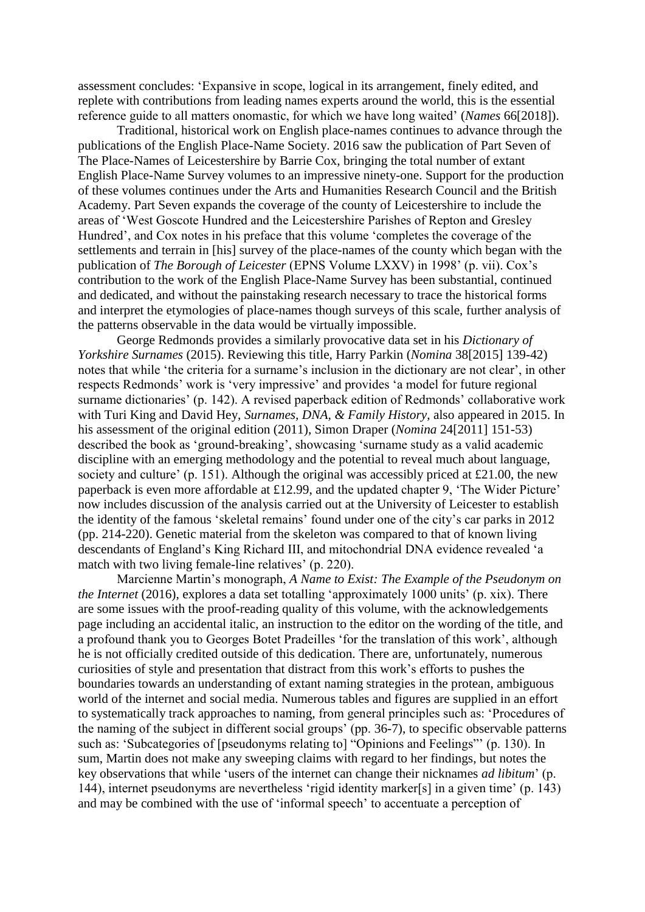assessment concludes: 'Expansive in scope, logical in its arrangement, finely edited, and replete with contributions from leading names experts around the world, this is the essential reference guide to all matters onomastic, for which we have long waited' (*Names* 66[2018]).

Traditional, historical work on English place-names continues to advance through the publications of the English Place-Name Society. 2016 saw the publication of Part Seven of The Place-Names of Leicestershire by Barrie Cox, bringing the total number of extant English Place-Name Survey volumes to an impressive ninety-one. Support for the production of these volumes continues under the Arts and Humanities Research Council and the British Academy. Part Seven expands the coverage of the county of Leicestershire to include the areas of 'West Goscote Hundred and the Leicestershire Parishes of Repton and Gresley Hundred', and Cox notes in his preface that this volume 'completes the coverage of the settlements and terrain in [his] survey of the place-names of the county which began with the publication of *The Borough of Leicester* (EPNS Volume LXXV) in 1998' (p. vii). Cox's contribution to the work of the English Place-Name Survey has been substantial, continued and dedicated, and without the painstaking research necessary to trace the historical forms and interpret the etymologies of place-names though surveys of this scale, further analysis of the patterns observable in the data would be virtually impossible.

George Redmonds provides a similarly provocative data set in his *Dictionary of Yorkshire Surnames* (2015). Reviewing this title, Harry Parkin (*Nomina* 38[2015] 139-42) notes that while 'the criteria for a surname's inclusion in the dictionary are not clear', in other respects Redmonds' work is 'very impressive' and provides 'a model for future regional surname dictionaries' (p. 142). A revised paperback edition of Redmonds' collaborative work with Turi King and David Hey, *Surnames, DNA, & Family History*, also appeared in 2015. In his assessment of the original edition (2011), Simon Draper (*Nomina* 24[2011] 151-53) described the book as 'ground-breaking', showcasing 'surname study as a valid academic discipline with an emerging methodology and the potential to reveal much about language, society and culture' (p. 151). Although the original was accessibly priced at £21.00, the new paperback is even more affordable at £12.99, and the updated chapter 9, 'The Wider Picture' now includes discussion of the analysis carried out at the University of Leicester to establish the identity of the famous 'skeletal remains' found under one of the city's car parks in 2012 (pp. 214-220). Genetic material from the skeleton was compared to that of known living descendants of England's King Richard III, and mitochondrial DNA evidence revealed 'a match with two living female-line relatives' (p. 220).

Marcienne Martin's monograph, *A Name to Exist: The Example of the Pseudonym on the Internet* (2016), explores a data set totalling 'approximately 1000 units' (p. xix). There are some issues with the proof-reading quality of this volume, with the acknowledgements page including an accidental italic, an instruction to the editor on the wording of the title, and a profound thank you to Georges Botet Pradeilles 'for the translation of this work', although he is not officially credited outside of this dedication. There are, unfortunately, numerous curiosities of style and presentation that distract from this work's efforts to pushes the boundaries towards an understanding of extant naming strategies in the protean, ambiguous world of the internet and social media. Numerous tables and figures are supplied in an effort to systematically track approaches to naming, from general principles such as: 'Procedures of the naming of the subject in different social groups' (pp. 36-7), to specific observable patterns such as: 'Subcategories of [pseudonyms relating to] "Opinions and Feelings"' (p. 130). In sum, Martin does not make any sweeping claims with regard to her findings, but notes the key observations that while 'users of the internet can change their nicknames *ad libitum*' (p. 144), internet pseudonyms are nevertheless 'rigid identity marker[s] in a given time' (p. 143) and may be combined with the use of 'informal speech' to accentuate a perception of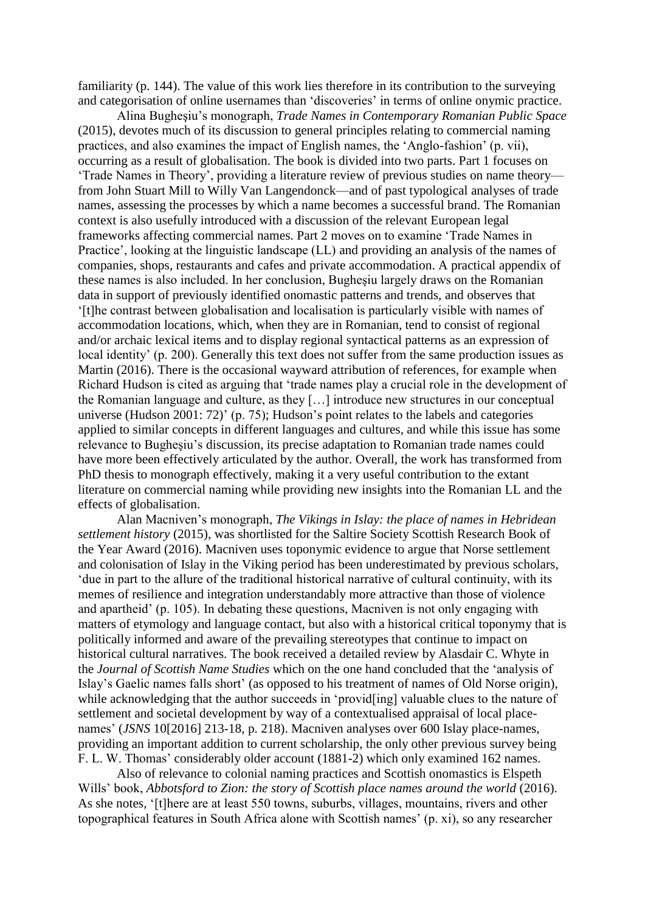familiarity (p. 144). The value of this work lies therefore in its contribution to the surveying and categorisation of online usernames than 'discoveries' in terms of online onymic practice.

Alina Bugheşiu's monograph, *Trade Names in Contemporary Romanian Public Space* (2015), devotes much of its discussion to general principles relating to commercial naming practices, and also examines the impact of English names, the 'Anglo-fashion' (p. vii), occurring as a result of globalisation. The book is divided into two parts. Part 1 focuses on 'Trade Names in Theory', providing a literature review of previous studies on name theory from John Stuart Mill to Willy Van Langendonck—and of past typological analyses of trade names, assessing the processes by which a name becomes a successful brand. The Romanian context is also usefully introduced with a discussion of the relevant European legal frameworks affecting commercial names. Part 2 moves on to examine 'Trade Names in Practice', looking at the linguistic landscape (LL) and providing an analysis of the names of companies, shops, restaurants and cafes and private accommodation. A practical appendix of these names is also included. In her conclusion, Bugheşiu largely draws on the Romanian data in support of previously identified onomastic patterns and trends, and observes that '[t]he contrast between globalisation and localisation is particularly visible with names of accommodation locations, which, when they are in Romanian, tend to consist of regional and/or archaic lexical items and to display regional syntactical patterns as an expression of local identity' (p. 200). Generally this text does not suffer from the same production issues as Martin (2016). There is the occasional wayward attribution of references, for example when Richard Hudson is cited as arguing that 'trade names play a crucial role in the development of the Romanian language and culture, as they […] introduce new structures in our conceptual universe (Hudson 2001: 72)' (p. 75); Hudson's point relates to the labels and categories applied to similar concepts in different languages and cultures, and while this issue has some relevance to Bugheşiu's discussion, its precise adaptation to Romanian trade names could have more been effectively articulated by the author. Overall, the work has transformed from PhD thesis to monograph effectively, making it a very useful contribution to the extant literature on commercial naming while providing new insights into the Romanian LL and the effects of globalisation.

Alan Macniven's monograph, *The Vikings in Islay: the place of names in Hebridean settlement history* (2015), was shortlisted for the Saltire Society Scottish Research Book of the Year Award (2016). Macniven uses toponymic evidence to argue that Norse settlement and colonisation of Islay in the Viking period has been underestimated by previous scholars, 'due in part to the allure of the traditional historical narrative of cultural continuity, with its memes of resilience and integration understandably more attractive than those of violence and apartheid' (p. 105). In debating these questions, Macniven is not only engaging with matters of etymology and language contact, but also with a historical critical toponymy that is politically informed and aware of the prevailing stereotypes that continue to impact on historical cultural narratives. The book received a detailed review by Alasdair C. Whyte in the *Journal of Scottish Name Studies* which on the one hand concluded that the 'analysis of Islay's Gaelic names falls short' (as opposed to his treatment of names of Old Norse origin), while acknowledging that the author succeeds in 'provid[ing] valuable clues to the nature of settlement and societal development by way of a contextualised appraisal of local placenames' (*JSNS* 10[2016] 213-18, p. 218). Macniven analyses over 600 Islay place-names, providing an important addition to current scholarship, the only other previous survey being F. L. W. Thomas' considerably older account (1881-2) which only examined 162 names.

Also of relevance to colonial naming practices and Scottish onomastics is Elspeth Wills' book, *Abbotsford to Zion: the story of Scottish place names around the world* (2016). As she notes, '[t]here are at least 550 towns, suburbs, villages, mountains, rivers and other topographical features in South Africa alone with Scottish names' (p. xi), so any researcher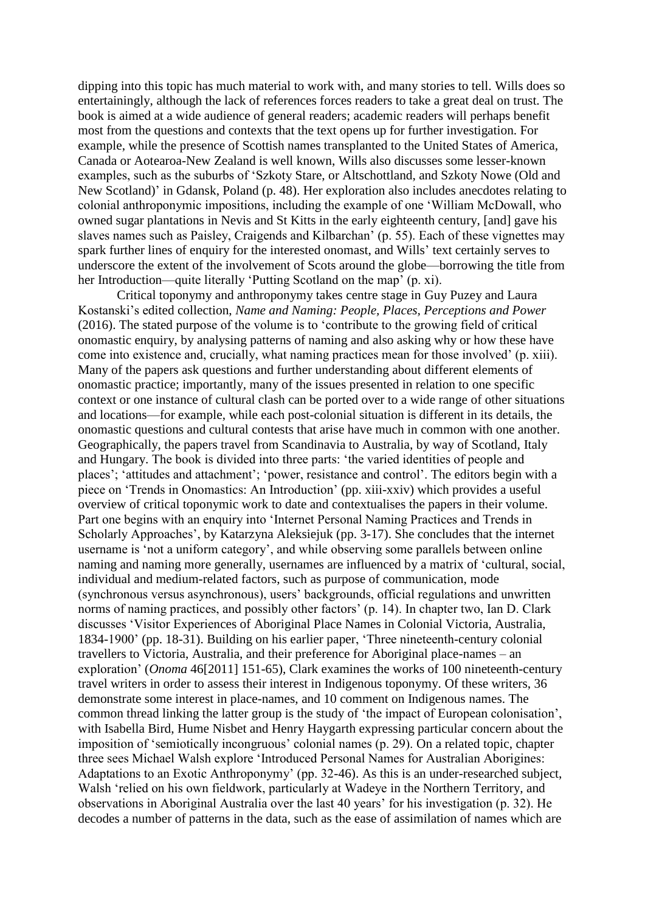dipping into this topic has much material to work with, and many stories to tell. Wills does so entertainingly, although the lack of references forces readers to take a great deal on trust. The book is aimed at a wide audience of general readers; academic readers will perhaps benefit most from the questions and contexts that the text opens up for further investigation. For example, while the presence of Scottish names transplanted to the United States of America, Canada or Aotearoa-New Zealand is well known, Wills also discusses some lesser-known examples, such as the suburbs of 'Szkoty Stare, or Altschottland, and Szkoty Nowe (Old and New Scotland)' in Gdansk, Poland (p. 48). Her exploration also includes anecdotes relating to colonial anthroponymic impositions, including the example of one 'William McDowall, who owned sugar plantations in Nevis and St Kitts in the early eighteenth century, [and] gave his slaves names such as Paisley, Craigends and Kilbarchan' (p. 55). Each of these vignettes may spark further lines of enquiry for the interested onomast, and Wills' text certainly serves to underscore the extent of the involvement of Scots around the globe—borrowing the title from her Introduction—quite literally 'Putting Scotland on the map' (p. xi).

Critical toponymy and anthroponymy takes centre stage in Guy Puzey and Laura Kostanski's edited collection, *Name and Naming: People, Places, Perceptions and Power* (2016). The stated purpose of the volume is to 'contribute to the growing field of critical onomastic enquiry, by analysing patterns of naming and also asking why or how these have come into existence and, crucially, what naming practices mean for those involved' (p. xiii). Many of the papers ask questions and further understanding about different elements of onomastic practice; importantly, many of the issues presented in relation to one specific context or one instance of cultural clash can be ported over to a wide range of other situations and locations—for example, while each post-colonial situation is different in its details, the onomastic questions and cultural contests that arise have much in common with one another. Geographically, the papers travel from Scandinavia to Australia, by way of Scotland, Italy and Hungary. The book is divided into three parts: 'the varied identities of people and places'; 'attitudes and attachment'; 'power, resistance and control'. The editors begin with a piece on 'Trends in Onomastics: An Introduction' (pp. xiii-xxiv) which provides a useful overview of critical toponymic work to date and contextualises the papers in their volume. Part one begins with an enquiry into 'Internet Personal Naming Practices and Trends in Scholarly Approaches', by Katarzyna Aleksiejuk (pp. 3-17). She concludes that the internet username is 'not a uniform category', and while observing some parallels between online naming and naming more generally, usernames are influenced by a matrix of 'cultural, social, individual and medium-related factors, such as purpose of communication, mode (synchronous versus asynchronous), users' backgrounds, official regulations and unwritten norms of naming practices, and possibly other factors' (p. 14). In chapter two, Ian D. Clark discusses 'Visitor Experiences of Aboriginal Place Names in Colonial Victoria, Australia, 1834-1900' (pp. 18-31). Building on his earlier paper, 'Three nineteenth-century colonial travellers to Victoria, Australia, and their preference for Aboriginal place-names – an exploration' (*Onoma* 46[2011] 151-65), Clark examines the works of 100 nineteenth-century travel writers in order to assess their interest in Indigenous toponymy. Of these writers, 36 demonstrate some interest in place-names, and 10 comment on Indigenous names. The common thread linking the latter group is the study of 'the impact of European colonisation', with Isabella Bird, Hume Nisbet and Henry Haygarth expressing particular concern about the imposition of 'semiotically incongruous' colonial names (p. 29). On a related topic, chapter three sees Michael Walsh explore 'Introduced Personal Names for Australian Aborigines: Adaptations to an Exotic Anthroponymy' (pp. 32-46). As this is an under-researched subject, Walsh 'relied on his own fieldwork, particularly at Wadeye in the Northern Territory, and observations in Aboriginal Australia over the last 40 years' for his investigation (p. 32). He decodes a number of patterns in the data, such as the ease of assimilation of names which are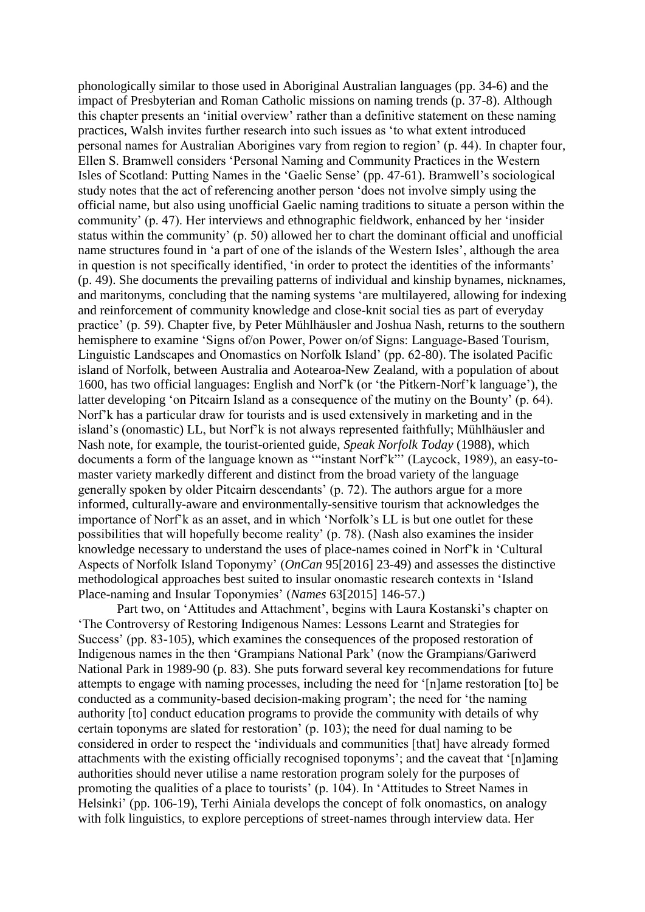phonologically similar to those used in Aboriginal Australian languages (pp. 34-6) and the impact of Presbyterian and Roman Catholic missions on naming trends (p. 37-8). Although this chapter presents an 'initial overview' rather than a definitive statement on these naming practices, Walsh invites further research into such issues as 'to what extent introduced personal names for Australian Aborigines vary from region to region' (p. 44). In chapter four, Ellen S. Bramwell considers 'Personal Naming and Community Practices in the Western Isles of Scotland: Putting Names in the 'Gaelic Sense' (pp. 47-61). Bramwell's sociological study notes that the act of referencing another person 'does not involve simply using the official name, but also using unofficial Gaelic naming traditions to situate a person within the community' (p. 47). Her interviews and ethnographic fieldwork, enhanced by her 'insider status within the community' (p. 50) allowed her to chart the dominant official and unofficial name structures found in 'a part of one of the islands of the Western Isles', although the area in question is not specifically identified, 'in order to protect the identities of the informants' (p. 49). She documents the prevailing patterns of individual and kinship bynames, nicknames, and maritonyms, concluding that the naming systems 'are multilayered, allowing for indexing and reinforcement of community knowledge and close-knit social ties as part of everyday practice' (p. 59). Chapter five, by Peter Mühlhäusler and Joshua Nash, returns to the southern hemisphere to examine 'Signs of/on Power, Power on/of Signs: Language-Based Tourism, Linguistic Landscapes and Onomastics on Norfolk Island' (pp. 62-80). The isolated Pacific island of Norfolk, between Australia and Aotearoa-New Zealand, with a population of about 1600, has two official languages: English and Norf'k (or 'the Pitkern-Norf'k language'), the latter developing 'on Pitcairn Island as a consequence of the mutiny on the Bounty' (p. 64). Norf'k has a particular draw for tourists and is used extensively in marketing and in the island's (onomastic) LL, but Norf'k is not always represented faithfully; Mühlhäusler and Nash note, for example, the tourist-oriented guide, *Speak Norfolk Today* (1988), which documents a form of the language known as '"instant Norf'k"' (Laycock, 1989), an easy-tomaster variety markedly different and distinct from the broad variety of the language generally spoken by older Pitcairn descendants' (p. 72). The authors argue for a more informed, culturally-aware and environmentally-sensitive tourism that acknowledges the importance of Norf'k as an asset, and in which 'Norfolk's LL is but one outlet for these possibilities that will hopefully become reality' (p. 78). (Nash also examines the insider knowledge necessary to understand the uses of place-names coined in Norf'k in 'Cultural Aspects of Norfolk Island Toponymy' (*OnCan* 95[2016] 23-49) and assesses the distinctive methodological approaches best suited to insular onomastic research contexts in 'Island Place-naming and Insular Toponymies' (*Names* 63[2015] 146-57.)

Part two, on 'Attitudes and Attachment', begins with Laura Kostanski's chapter on 'The Controversy of Restoring Indigenous Names: Lessons Learnt and Strategies for Success' (pp. 83-105), which examines the consequences of the proposed restoration of Indigenous names in the then 'Grampians National Park' (now the Grampians/Gariwerd National Park in 1989-90 (p. 83). She puts forward several key recommendations for future attempts to engage with naming processes, including the need for '[n]ame restoration [to] be conducted as a community-based decision-making program'; the need for 'the naming authority [to] conduct education programs to provide the community with details of why certain toponyms are slated for restoration' (p. 103); the need for dual naming to be considered in order to respect the 'individuals and communities [that] have already formed attachments with the existing officially recognised toponyms'; and the caveat that '[n]aming authorities should never utilise a name restoration program solely for the purposes of promoting the qualities of a place to tourists' (p. 104). In 'Attitudes to Street Names in Helsinki' (pp. 106-19), Terhi Ainiala develops the concept of folk onomastics, on analogy with folk linguistics, to explore perceptions of street-names through interview data. Her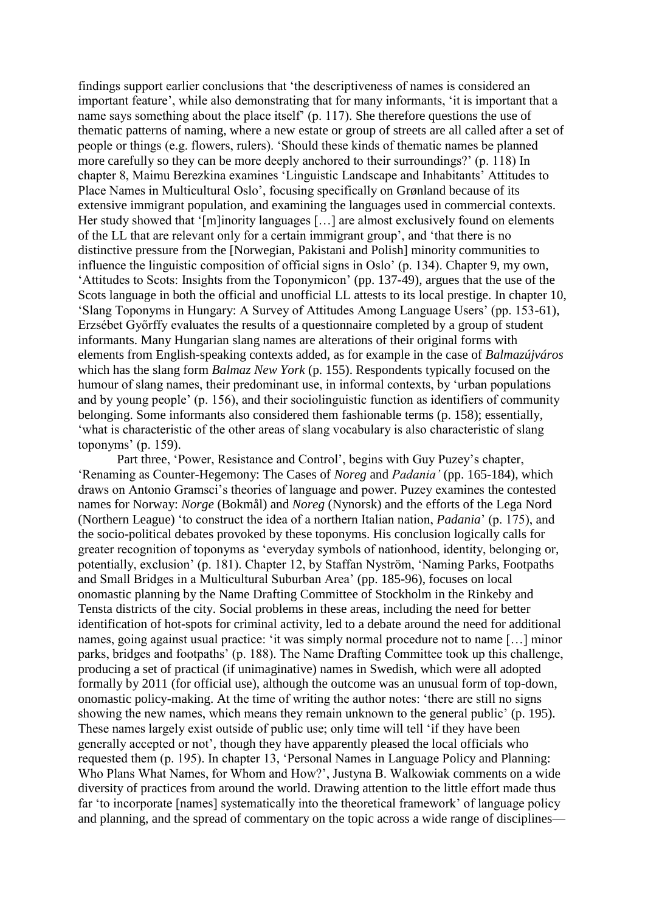findings support earlier conclusions that 'the descriptiveness of names is considered an important feature', while also demonstrating that for many informants, 'it is important that a name says something about the place itself' (p. 117). She therefore questions the use of thematic patterns of naming, where a new estate or group of streets are all called after a set of people or things (e.g. flowers, rulers). 'Should these kinds of thematic names be planned more carefully so they can be more deeply anchored to their surroundings?' (p. 118) In chapter 8, Maimu Berezkina examines 'Linguistic Landscape and Inhabitants' Attitudes to Place Names in Multicultural Oslo', focusing specifically on Grønland because of its extensive immigrant population, and examining the languages used in commercial contexts. Her study showed that '[m]inority languages [...] are almost exclusively found on elements of the LL that are relevant only for a certain immigrant group', and 'that there is no distinctive pressure from the [Norwegian, Pakistani and Polish] minority communities to influence the linguistic composition of official signs in Oslo' (p. 134). Chapter 9, my own, 'Attitudes to Scots: Insights from the Toponymicon' (pp. 137-49), argues that the use of the Scots language in both the official and unofficial LL attests to its local prestige. In chapter 10, 'Slang Toponyms in Hungary: A Survey of Attitudes Among Language Users' (pp. 153-61), Erzsébet Győrffy evaluates the results of a questionnaire completed by a group of student informants. Many Hungarian slang names are alterations of their original forms with elements from English-speaking contexts added, as for example in the case of *Balmazújváros* which has the slang form *Balmaz New York* (p. 155). Respondents typically focused on the humour of slang names, their predominant use, in informal contexts, by 'urban populations and by young people' (p. 156), and their sociolinguistic function as identifiers of community belonging. Some informants also considered them fashionable terms (p. 158); essentially, 'what is characteristic of the other areas of slang vocabulary is also characteristic of slang toponyms' (p. 159).

Part three, 'Power, Resistance and Control', begins with Guy Puzey's chapter, 'Renaming as Counter-Hegemony: The Cases of *Noreg* and *Padania'* (pp. 165-184), which draws on Antonio Gramsci's theories of language and power. Puzey examines the contested names for Norway: *Norge* (Bokmål) and *Noreg* (Nynorsk) and the efforts of the Lega Nord (Northern League) 'to construct the idea of a northern Italian nation, *Padania*' (p. 175), and the socio-political debates provoked by these toponyms. His conclusion logically calls for greater recognition of toponyms as 'everyday symbols of nationhood, identity, belonging or, potentially, exclusion' (p. 181). Chapter 12, by Staffan Nyström, 'Naming Parks, Footpaths and Small Bridges in a Multicultural Suburban Area' (pp. 185-96), focuses on local onomastic planning by the Name Drafting Committee of Stockholm in the Rinkeby and Tensta districts of the city. Social problems in these areas, including the need for better identification of hot-spots for criminal activity, led to a debate around the need for additional names, going against usual practice: 'it was simply normal procedure not to name […] minor parks, bridges and footpaths' (p. 188). The Name Drafting Committee took up this challenge, producing a set of practical (if unimaginative) names in Swedish, which were all adopted formally by 2011 (for official use), although the outcome was an unusual form of top-down, onomastic policy-making. At the time of writing the author notes: 'there are still no signs showing the new names, which means they remain unknown to the general public' (p. 195). These names largely exist outside of public use; only time will tell 'if they have been generally accepted or not', though they have apparently pleased the local officials who requested them (p. 195). In chapter 13, 'Personal Names in Language Policy and Planning: Who Plans What Names, for Whom and How?', Justyna B. Walkowiak comments on a wide diversity of practices from around the world. Drawing attention to the little effort made thus far 'to incorporate [names] systematically into the theoretical framework' of language policy and planning, and the spread of commentary on the topic across a wide range of disciplines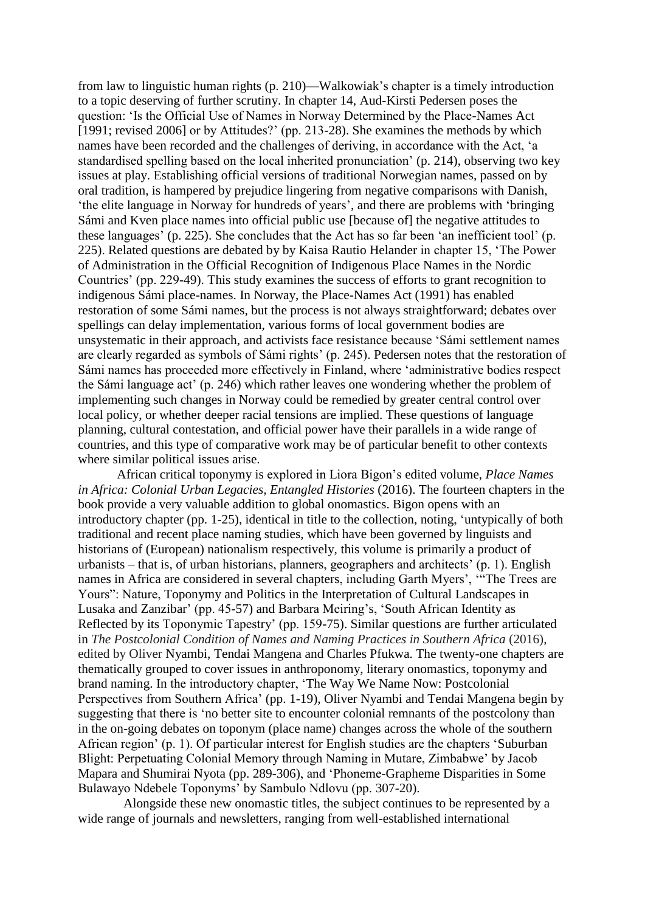from law to linguistic human rights (p. 210)—Walkowiak's chapter is a timely introduction to a topic deserving of further scrutiny. In chapter 14, Aud-Kirsti Pedersen poses the question: 'Is the Official Use of Names in Norway Determined by the Place-Names Act [1991; revised 2006] or by Attitudes?' (pp. 213-28). She examines the methods by which names have been recorded and the challenges of deriving, in accordance with the Act, 'a standardised spelling based on the local inherited pronunciation' (p. 214), observing two key issues at play. Establishing official versions of traditional Norwegian names, passed on by oral tradition, is hampered by prejudice lingering from negative comparisons with Danish, 'the elite language in Norway for hundreds of years', and there are problems with 'bringing Sámi and Kven place names into official public use [because of] the negative attitudes to these languages' (p. 225). She concludes that the Act has so far been 'an inefficient tool' (p. 225). Related questions are debated by by Kaisa Rautio Helander in chapter 15, 'The Power of Administration in the Official Recognition of Indigenous Place Names in the Nordic Countries' (pp. 229-49). This study examines the success of efforts to grant recognition to indigenous Sámi place-names. In Norway, the Place-Names Act (1991) has enabled restoration of some Sámi names, but the process is not always straightforward; debates over spellings can delay implementation, various forms of local government bodies are unsystematic in their approach, and activists face resistance because 'Sámi settlement names are clearly regarded as symbols of Sámi rights' (p. 245). Pedersen notes that the restoration of Sámi names has proceeded more effectively in Finland, where 'administrative bodies respect the Sámi language act' (p. 246) which rather leaves one wondering whether the problem of implementing such changes in Norway could be remedied by greater central control over local policy, or whether deeper racial tensions are implied. These questions of language planning, cultural contestation, and official power have their parallels in a wide range of countries, and this type of comparative work may be of particular benefit to other contexts where similar political issues arise.

African critical toponymy is explored in Liora Bigon's edited volume, *Place Names in Africa: Colonial Urban Legacies, Entangled Histories* (2016). The fourteen chapters in the book provide a very valuable addition to global onomastics. Bigon opens with an introductory chapter (pp. 1-25), identical in title to the collection, noting, 'untypically of both traditional and recent place naming studies, which have been governed by linguists and historians of (European) nationalism respectively, this volume is primarily a product of urbanists – that is, of urban historians, planners, geographers and architects' (p. 1). English names in Africa are considered in several chapters, including Garth Myers', '"The Trees are Yours": Nature, Toponymy and Politics in the Interpretation of Cultural Landscapes in Lusaka and Zanzibar' (pp. 45-57) and Barbara Meiring's, 'South African Identity as Reflected by its Toponymic Tapestry' (pp. 159-75). Similar questions are further articulated in *The Postcolonial Condition of Names and Naming Practices in Southern Africa* (2016), edited by Oliver Nyambi, Tendai Mangena and Charles Pfukwa. The twenty-one chapters are thematically grouped to cover issues in anthroponomy, literary onomastics, toponymy and brand naming. In the introductory chapter, 'The Way We Name Now: Postcolonial Perspectives from Southern Africa' (pp. 1-19), Oliver Nyambi and Tendai Mangena begin by suggesting that there is 'no better site to encounter colonial remnants of the postcolony than in the on-going debates on toponym (place name) changes across the whole of the southern African region' (p. 1). Of particular interest for English studies are the chapters 'Suburban Blight: Perpetuating Colonial Memory through Naming in Mutare, Zimbabwe' by Jacob Mapara and Shumirai Nyota (pp. 289-306), and 'Phoneme-Grapheme Disparities in Some Bulawayo Ndebele Toponyms' by Sambulo Ndlovu (pp. 307-20).

Alongside these new onomastic titles, the subject continues to be represented by a wide range of journals and newsletters, ranging from well-established international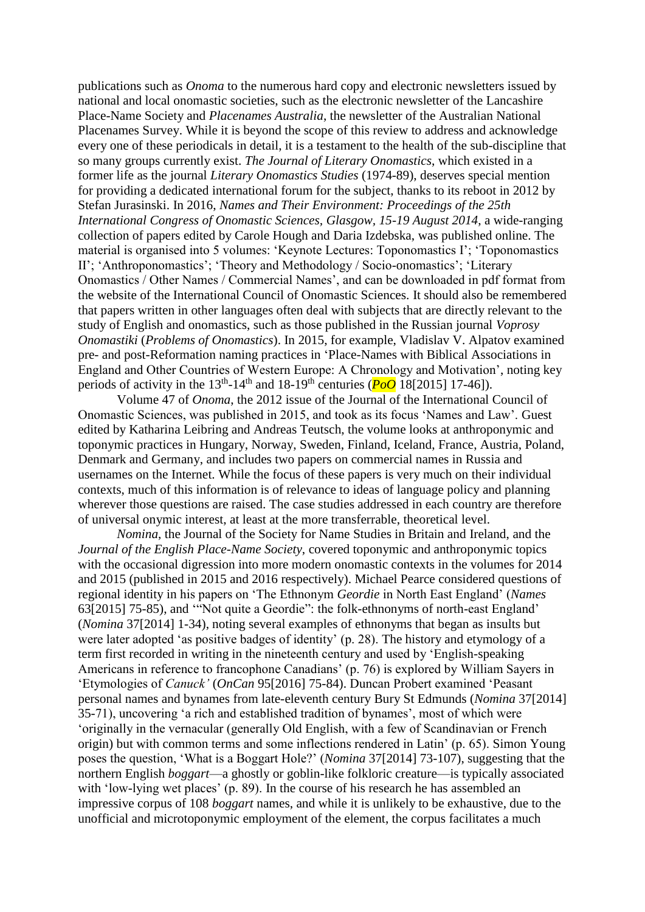publications such as *Onoma* to the numerous hard copy and electronic newsletters issued by national and local onomastic societies, such as the electronic newsletter of the Lancashire Place-Name Society and *Placenames Australia*, the newsletter of the Australian National Placenames Survey. While it is beyond the scope of this review to address and acknowledge every one of these periodicals in detail, it is a testament to the health of the sub-discipline that so many groups currently exist. *The Journal of Literary Onomastics*, which existed in a former life as the journal *Literary Onomastics Studies* (1974-89), deserves special mention for providing a dedicated international forum for the subject, thanks to its reboot in 2012 by Stefan Jurasinski. In 2016, *Names and Their Environment: Proceedings of the 25th International Congress of Onomastic Sciences, Glasgow, 15-19 August 2014*, a wide-ranging collection of papers edited by Carole Hough and Daria Izdebska, was published online. The material is organised into 5 volumes: 'Keynote Lectures: Toponomastics I'; 'Toponomastics II'; 'Anthroponomastics'; 'Theory and Methodology / Socio-onomastics'; 'Literary Onomastics / Other Names / Commercial Names', and can be downloaded in pdf format from the website of the International Council of Onomastic Sciences. It should also be remembered that papers written in other languages often deal with subjects that are directly relevant to the study of English and onomastics, such as those published in the Russian journal *Voprosy Onomastiki* (*Problems of Onomastics*). In 2015, for example, Vladislav V. Alpatov examined pre- and post-Reformation naming practices in 'Place-Names with Biblical Associations in England and Other Countries of Western Europe: A Chronology and Motivation', noting key periods of activity in the  $13<sup>th</sup>$ -14<sup>th</sup> and  $18$ -19<sup>th</sup> centuries ( $P_0O$  18[2015] 17-46]).

Volume 47 of *Onoma*, the 2012 issue of the Journal of the International Council of Onomastic Sciences, was published in 2015, and took as its focus 'Names and Law'. Guest edited by Katharina Leibring and Andreas Teutsch, the volume looks at anthroponymic and toponymic practices in Hungary, Norway, Sweden, Finland, Iceland, France, Austria, Poland, Denmark and Germany, and includes two papers on commercial names in Russia and usernames on the Internet. While the focus of these papers is very much on their individual contexts, much of this information is of relevance to ideas of language policy and planning wherever those questions are raised. The case studies addressed in each country are therefore of universal onymic interest, at least at the more transferrable, theoretical level.

*Nomina*, the Journal of the Society for Name Studies in Britain and Ireland, and the *Journal of the English Place-Name Society*, covered toponymic and anthroponymic topics with the occasional digression into more modern onomastic contexts in the volumes for 2014 and 2015 (published in 2015 and 2016 respectively). Michael Pearce considered questions of regional identity in his papers on 'The Ethnonym *Geordie* in North East England' (*Names* 63[2015] 75-85), and '"Not quite a Geordie": the folk-ethnonyms of north-east England' (*Nomina* 37[2014] 1-34), noting several examples of ethnonyms that began as insults but were later adopted 'as positive badges of identity' (p. 28). The history and etymology of a term first recorded in writing in the nineteenth century and used by 'English-speaking Americans in reference to francophone Canadians' (p. 76) is explored by William Sayers in 'Etymologies of *Canuck'* (*OnCan* 95[2016] 75-84). Duncan Probert examined 'Peasant personal names and bynames from late-eleventh century Bury St Edmunds (*Nomina* 37[2014] 35-71), uncovering 'a rich and established tradition of bynames', most of which were 'originally in the vernacular (generally Old English, with a few of Scandinavian or French origin) but with common terms and some inflections rendered in Latin' (p. 65). Simon Young poses the question, 'What is a Boggart Hole?' (*Nomina* 37[2014] 73-107), suggesting that the northern English *boggart*—a ghostly or goblin-like folkloric creature—is typically associated with 'low-lying wet places' (p. 89). In the course of his research he has assembled an impressive corpus of 108 *boggart* names, and while it is unlikely to be exhaustive, due to the unofficial and microtoponymic employment of the element, the corpus facilitates a much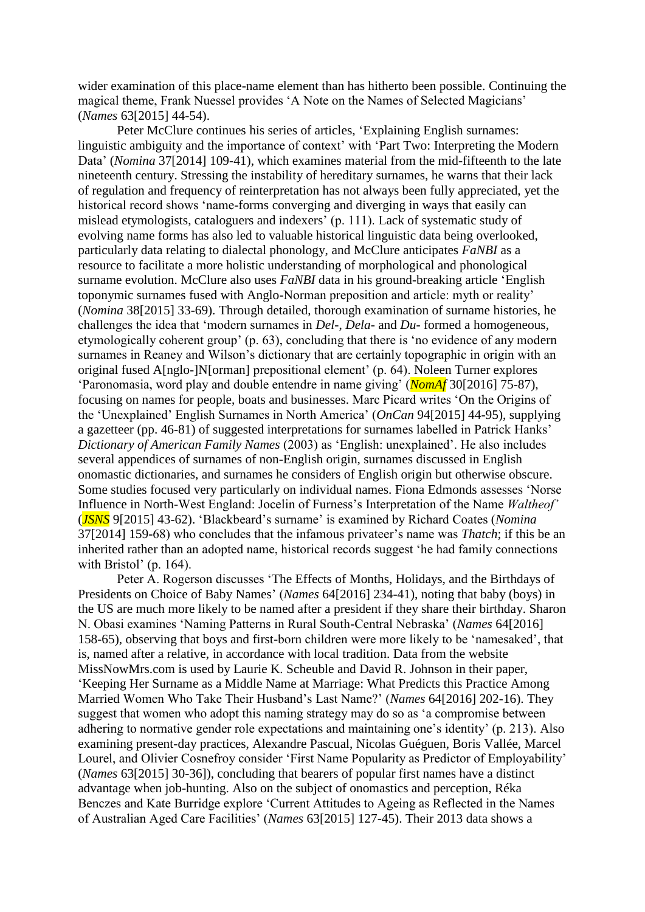wider examination of this place-name element than has hitherto been possible. Continuing the magical theme, Frank Nuessel provides 'A Note on the Names of Selected Magicians' (*Names* 63[2015] 44-54).

Peter McClure continues his series of articles, 'Explaining English surnames: linguistic ambiguity and the importance of context' with 'Part Two: Interpreting the Modern Data' (*Nomina* 37[2014] 109-41), which examines material from the mid-fifteenth to the late nineteenth century. Stressing the instability of hereditary surnames, he warns that their lack of regulation and frequency of reinterpretation has not always been fully appreciated, yet the historical record shows 'name-forms converging and diverging in ways that easily can mislead etymologists, cataloguers and indexers' (p. 111). Lack of systematic study of evolving name forms has also led to valuable historical linguistic data being overlooked, particularly data relating to dialectal phonology, and McClure anticipates *FaNBI* as a resource to facilitate a more holistic understanding of morphological and phonological surname evolution. McClure also uses *FaNBI* data in his ground-breaking article 'English toponymic surnames fused with Anglo-Norman preposition and article: myth or reality' (*Nomina* 38[2015] 33-69). Through detailed, thorough examination of surname histories, he challenges the idea that 'modern surnames in *Del*-, *Dela*- and *Du*- formed a homogeneous, etymologically coherent group' (p. 63), concluding that there is 'no evidence of any modern surnames in Reaney and Wilson's dictionary that are certainly topographic in origin with an original fused A[nglo-]N[orman] prepositional element' (p. 64). Noleen Turner explores 'Paronomasia, word play and double entendre in name giving' (*NomAf* 30[2016] 75-87), focusing on names for people, boats and businesses. Marc Picard writes 'On the Origins of the 'Unexplained' English Surnames in North America' (*OnCan* 94[2015] 44-95), supplying a gazetteer (pp. 46-81) of suggested interpretations for surnames labelled in Patrick Hanks' *Dictionary of American Family Names* (2003) as 'English: unexplained'. He also includes several appendices of surnames of non-English origin, surnames discussed in English onomastic dictionaries, and surnames he considers of English origin but otherwise obscure. Some studies focused very particularly on individual names. Fiona Edmonds assesses 'Norse Influence in North-West England: Jocelin of Furness's Interpretation of the Name *Waltheof'* (*JSNS* 9[2015] 43-62). 'Blackbeard's surname' is examined by Richard Coates (*Nomina* 37[2014] 159-68) who concludes that the infamous privateer's name was *Thatch*; if this be an inherited rather than an adopted name, historical records suggest 'he had family connections with Bristol' (p. 164).

Peter A. Rogerson discusses 'The Effects of Months, Holidays, and the Birthdays of Presidents on Choice of Baby Names' (*Names* 64[2016] 234-41), noting that baby (boys) in the US are much more likely to be named after a president if they share their birthday. Sharon N. Obasi examines 'Naming Patterns in Rural South-Central Nebraska' (*Names* 64[2016] 158-65), observing that boys and first-born children were more likely to be 'namesaked', that is, named after a relative, in accordance with local tradition. Data from the website MissNowMrs.com is used by Laurie K. Scheuble and David R. Johnson in their paper, 'Keeping Her Surname as a Middle Name at Marriage: What Predicts this Practice Among Married Women Who Take Their Husband's Last Name?' (*Names* 64[2016] 202-16). They suggest that women who adopt this naming strategy may do so as 'a compromise between adhering to normative gender role expectations and maintaining one's identity' (p. 213). Also examining present-day practices, Alexandre Pascual, Nicolas Guéguen, Boris Vallée, Marcel Lourel, and Olivier Cosnefroy consider 'First Name Popularity as Predictor of Employability' (*Names* 63[2015] 30-36]), concluding that bearers of popular first names have a distinct advantage when job-hunting. Also on the subject of onomastics and perception, Réka Benczes and Kate Burridge explore 'Current Attitudes to Ageing as Reflected in the Names of Australian Aged Care Facilities' (*Names* 63[2015] 127-45). Their 2013 data shows a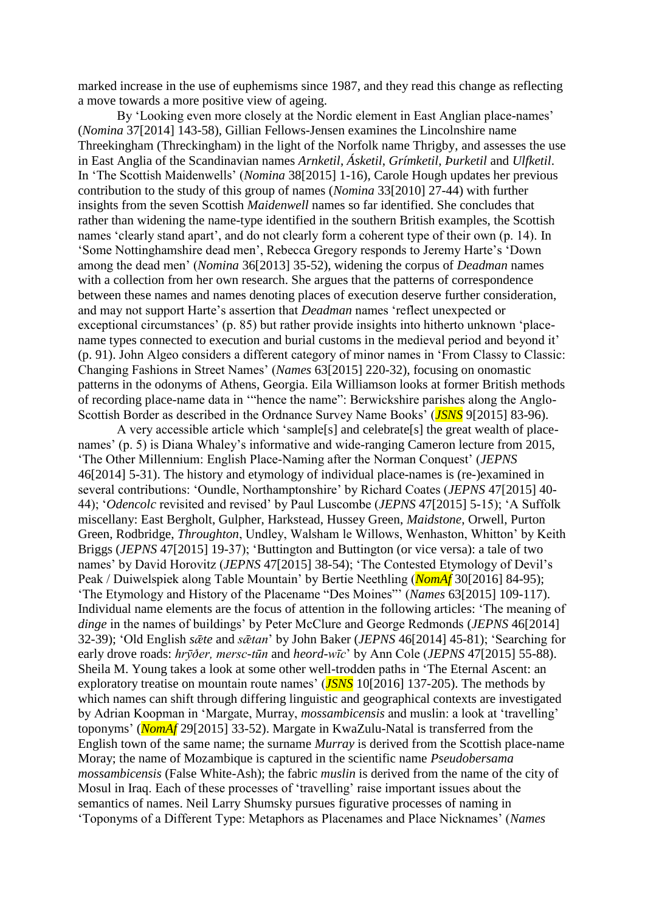marked increase in the use of euphemisms since 1987, and they read this change as reflecting a move towards a more positive view of ageing.

By 'Looking even more closely at the Nordic element in East Anglian place-names' (*Nomina* 37[2014] 143-58), Gillian Fellows-Jensen examines the Lincolnshire name Threekingham (Threckingham) in the light of the Norfolk name Thrigby, and assesses the use in East Anglia of the Scandinavian names *Arnketil*, *Ásketil*, *Grímketil*, *Þurketil* and *Ulfketil*. In 'The Scottish Maidenwells' (*Nomina* 38[2015] 1-16), Carole Hough updates her previous contribution to the study of this group of names (*Nomina* 33[2010] 27-44) with further insights from the seven Scottish *Maidenwell* names so far identified. She concludes that rather than widening the name-type identified in the southern British examples, the Scottish names 'clearly stand apart', and do not clearly form a coherent type of their own (p. 14). In 'Some Nottinghamshire dead men', Rebecca Gregory responds to Jeremy Harte's 'Down among the dead men' (*Nomina* 36[2013] 35-52), widening the corpus of *Deadman* names with a collection from her own research. She argues that the patterns of correspondence between these names and names denoting places of execution deserve further consideration, and may not support Harte's assertion that *Deadman* names 'reflect unexpected or exceptional circumstances' (p. 85) but rather provide insights into hitherto unknown 'placename types connected to execution and burial customs in the medieval period and beyond it' (p. 91). John Algeo considers a different category of minor names in 'From Classy to Classic: Changing Fashions in Street Names' (*Names* 63[2015] 220-32), focusing on onomastic patterns in the odonyms of Athens, Georgia. Eila Williamson looks at former British methods of recording place-name data in '"hence the name": Berwickshire parishes along the Anglo-Scottish Border as described in the Ordnance Survey Name Books' (*JSNS* 9[2015] 83-96).

A very accessible article which 'sample[s] and celebrate[s] the great wealth of placenames' (p. 5) is Diana Whaley's informative and wide-ranging Cameron lecture from 2015, 'The Other Millennium: English Place-Naming after the Norman Conquest' (*JEPNS* 46[2014] 5-31). The history and etymology of individual place-names is (re-)examined in several contributions: 'Oundle, Northamptonshire' by Richard Coates (*JEPNS* 47[2015] 40- 44); '*Odencolc* revisited and revised' by Paul Luscombe (*JEPNS* 47[2015] 5-15); 'A Suffolk miscellany: East Bergholt, Gulpher, Harkstead, Hussey Green, *Maidstone*, Orwell, Purton Green, Rodbridge, *Throughton*, Undley, Walsham le Willows, Wenhaston, Whitton' by Keith Briggs (*JEPNS* 47[2015] 19-37); 'Buttington and Buttington (or vice versa): a tale of two names' by David Horovitz (*JEPNS* 47[2015] 38-54); 'The Contested Etymology of Devil's Peak / Duiwelspiek along Table Mountain' by Bertie Neethling (*NomAf* 30[2016] 84-95); 'The Etymology and History of the Placename "Des Moines"' (*Names* 63[2015] 109-117). Individual name elements are the focus of attention in the following articles: 'The meaning of *dinge* in the names of buildings' by Peter McClure and George Redmonds (*JEPNS* 46[2014] 32-39); 'Old English *sǣte* and *sǣtan*' by John Baker (*JEPNS* 46[2014] 45-81); 'Searching for early drove roads: *hrȳðer, mersc-tūn* and *heord-wīc*' by Ann Cole (*JEPNS* 47[2015] 55-88). Sheila M. Young takes a look at some other well-trodden paths in 'The Eternal Ascent: an exploratory treatise on mountain route names' (*JSNS* 10[2016] 137-205). The methods by which names can shift through differing linguistic and geographical contexts are investigated by Adrian Koopman in 'Margate, Murray, *mossambicensis* and muslin: a look at 'travelling' toponyms' (*NomAf* 29[2015] 33-52). Margate in KwaZulu-Natal is transferred from the English town of the same name; the surname *Murray* is derived from the Scottish place-name Moray; the name of Mozambique is captured in the scientific name *Pseudobersama mossambicensis* (False White-Ash); the fabric *muslin* is derived from the name of the city of Mosul in Iraq. Each of these processes of 'travelling' raise important issues about the semantics of names. Neil Larry Shumsky pursues figurative processes of naming in 'Toponyms of a Different Type: Metaphors as Placenames and Place Nicknames' (*Names*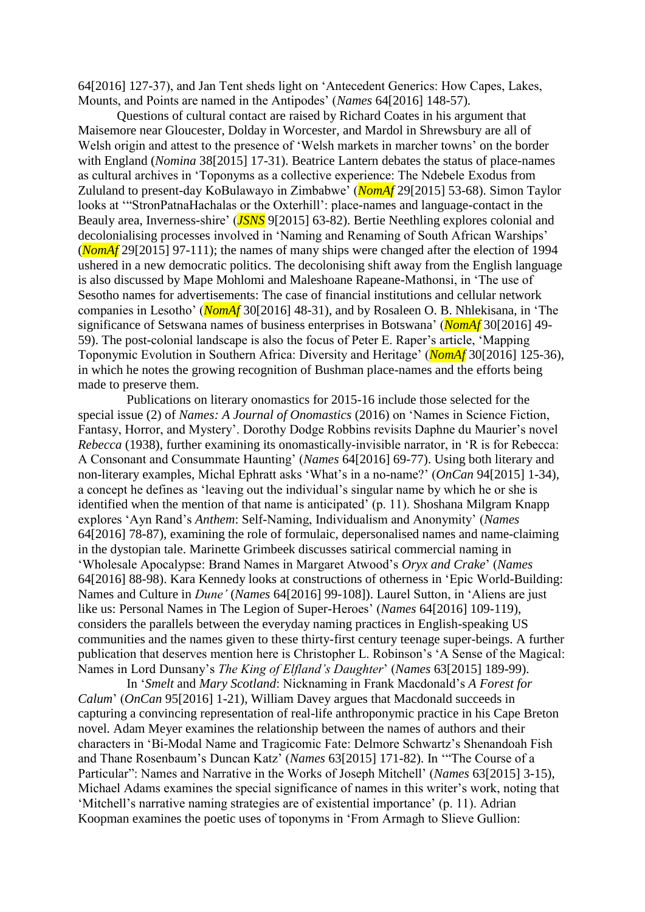64[2016] 127-37), and Jan Tent sheds light on 'Antecedent Generics: How Capes, Lakes, Mounts, and Points are named in the Antipodes' (*Names* 64[2016] 148-57).

Questions of cultural contact are raised by Richard Coates in his argument that Maisemore near Gloucester, Dolday in Worcester, and Mardol in Shrewsbury are all of Welsh origin and attest to the presence of 'Welsh markets in marcher towns' on the border with England (*Nomina* 38[2015] 17-31). Beatrice Lantern debates the status of place-names as cultural archives in 'Toponyms as a collective experience: The Ndebele Exodus from Zululand to present-day KoBulawayo in Zimbabwe' (*NomAf* 29[2015] 53-68). Simon Taylor looks at '"StronPatnaHachalas or the Oxterhill': place-names and language-contact in the Beauly area, Inverness-shire' (*JSNS* 9[2015] 63-82). Bertie Neethling explores colonial and decolonialising processes involved in 'Naming and Renaming of South African Warships' (*NomAf* 29[2015] 97-111); the names of many ships were changed after the election of 1994 ushered in a new democratic politics. The decolonising shift away from the English language is also discussed by Mape Mohlomi and Maleshoane Rapeane-Mathonsi, in 'The use of Sesotho names for advertisements: The case of financial institutions and cellular network companies in Lesotho' (*NomAf* 30[2016] 48-31), and by Rosaleen O. B. Nhlekisana, in 'The significance of Setswana names of business enterprises in Botswana' (*NomAf* 30[2016] 49- 59). The post-colonial landscape is also the focus of Peter E. Raper's article, 'Mapping Toponymic Evolution in Southern Africa: Diversity and Heritage' (*NomAf* 30[2016] 125-36), in which he notes the growing recognition of Bushman place-names and the efforts being made to preserve them.

Publications on literary onomastics for 2015-16 include those selected for the special issue (2) of *Names: A Journal of Onomastics* (2016) on 'Names in Science Fiction, Fantasy, Horror, and Mystery'. Dorothy Dodge Robbins revisits Daphne du Maurier's novel *Rebecca* (1938), further examining its onomastically-invisible narrator, in 'R is for Rebecca: A Consonant and Consummate Haunting' (*Names* 64[2016] 69-77). Using both literary and non-literary examples, Michal Ephratt asks 'What's in a no-name?' (*OnCan* 94[2015] 1-34), a concept he defines as 'leaving out the individual's singular name by which he or she is identified when the mention of that name is anticipated' (p. 11). Shoshana Milgram Knapp explores 'Ayn Rand's *Anthem*: Self-Naming, Individualism and Anonymity' (*Names* 64[2016] 78-87), examining the role of formulaic, depersonalised names and name-claiming in the dystopian tale. Marinette Grimbeek discusses satirical commercial naming in 'Wholesale Apocalypse: Brand Names in Margaret Atwood's *Oryx and Crake*' (*Names* 64[2016] 88-98). Kara Kennedy looks at constructions of otherness in 'Epic World-Building: Names and Culture in *Dune'* (*Names* 64[2016] 99-108]). Laurel Sutton, in 'Aliens are just like us: Personal Names in The Legion of Super-Heroes' (*Names* 64[2016] 109-119), considers the parallels between the everyday naming practices in English-speaking US communities and the names given to these thirty-first century teenage super-beings. A further publication that deserves mention here is Christopher L. Robinson's 'A Sense of the Magical: Names in Lord Dunsany's *The King of Elfland's Daughter*' (*Names* 63[2015] 189-99).

In '*Smelt* and *Mary Scotland*: Nicknaming in Frank Macdonald's *A Forest for Calum*' (*OnCan* 95[2016] 1-21), William Davey argues that Macdonald succeeds in capturing a convincing representation of real-life anthroponymic practice in his Cape Breton novel. Adam Meyer examines the relationship between the names of authors and their characters in 'Bi-Modal Name and Tragicomic Fate: Delmore Schwartz's Shenandoah Fish and Thane Rosenbaum's Duncan Katz' (*Names* 63[2015] 171-82). In '"The Course of a Particular": Names and Narrative in the Works of Joseph Mitchell' (*Names* 63[2015] 3-15), Michael Adams examines the special significance of names in this writer's work, noting that 'Mitchell's narrative naming strategies are of existential importance' (p. 11). Adrian Koopman examines the poetic uses of toponyms in 'From Armagh to Slieve Gullion: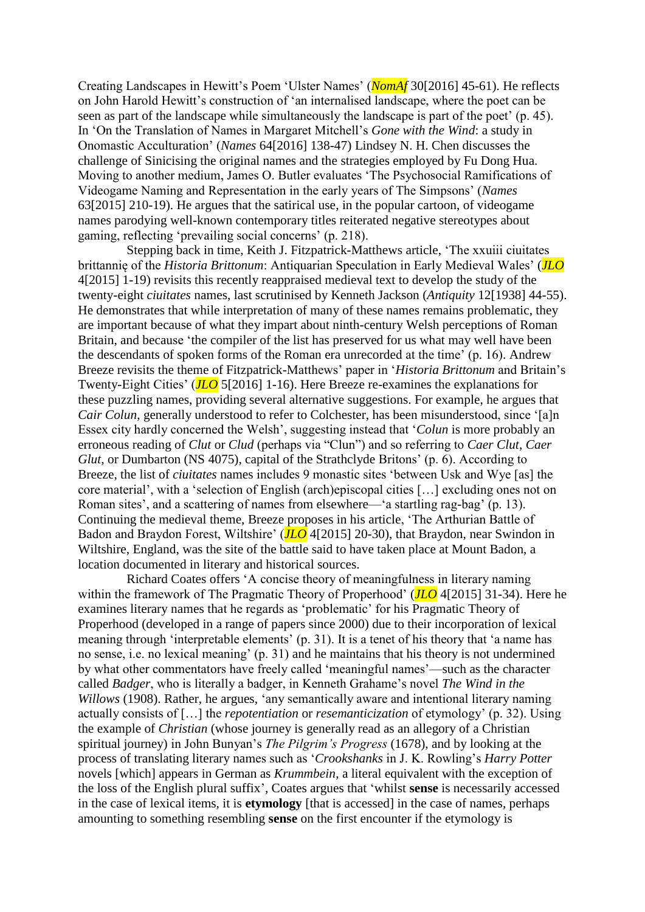Creating Landscapes in Hewitt's Poem 'Ulster Names' (*NomAf* 30[2016] 45-61). He reflects on John Harold Hewitt's construction of 'an internalised landscape, where the poet can be seen as part of the landscape while simultaneously the landscape is part of the poet' (p. 45). In 'On the Translation of Names in Margaret Mitchell's *Gone with the Wind*: a study in Onomastic Acculturation' (*Names* 64[2016] 138-47) Lindsey N. H. Chen discusses the challenge of Sinicising the original names and the strategies employed by Fu Dong Hua. Moving to another medium, James O. Butler evaluates 'The Psychosocial Ramifications of Videogame Naming and Representation in the early years of The Simpsons' (*Names* 63[2015] 210-19). He argues that the satirical use, in the popular cartoon, of videogame names parodying well-known contemporary titles reiterated negative stereotypes about gaming, reflecting 'prevailing social concerns' (p. 218).

Stepping back in time, Keith J. Fitzpatrick-Matthews article, 'The xxuiii ciuitates brittannię of the *Historia Brittonum*: Antiquarian Speculation in Early Medieval Wales' (*JLO* 4[2015] 1-19) revisits this recently reappraised medieval text to develop the study of the twenty-eight *ciuitates* names, last scrutinised by Kenneth Jackson (*Antiquity* 12[1938] 44-55). He demonstrates that while interpretation of many of these names remains problematic, they are important because of what they impart about ninth-century Welsh perceptions of Roman Britain, and because 'the compiler of the list has preserved for us what may well have been the descendants of spoken forms of the Roman era unrecorded at the time' (p. 16). Andrew Breeze revisits the theme of Fitzpatrick-Matthews' paper in '*Historia Brittonum* and Britain's Twenty-Eight Cities' (*JLO* 5[2016] 1-16). Here Breeze re-examines the explanations for these puzzling names, providing several alternative suggestions. For example, he argues that *Cair Colun*, generally understood to refer to Colchester, has been misunderstood, since '[a]n Essex city hardly concerned the Welsh', suggesting instead that '*Colun* is more probably an erroneous reading of *Clut* or *Clud* (perhaps via "Clun") and so referring to *Caer Clut*, *Caer Glut*, or Dumbarton (NS 4075), capital of the Strathclyde Britons' (p. 6). According to Breeze, the list of *ciuitates* names includes 9 monastic sites 'between Usk and Wye [as] the core material', with a 'selection of English (arch)episcopal cities […] excluding ones not on Roman sites', and a scattering of names from elsewhere—'a startling rag-bag' (p. 13). Continuing the medieval theme, Breeze proposes in his article, 'The Arthurian Battle of Badon and Braydon Forest, Wiltshire' (*JLO* 4[2015] 20-30), that Braydon, near Swindon in Wiltshire, England, was the site of the battle said to have taken place at Mount Badon, a location documented in literary and historical sources.

Richard Coates offers 'A concise theory of meaningfulness in literary naming within the framework of The Pragmatic Theory of Properhood' (*JLO* 4[2015] 31-34). Here he examines literary names that he regards as 'problematic' for his Pragmatic Theory of Properhood (developed in a range of papers since 2000) due to their incorporation of lexical meaning through 'interpretable elements' (p. 31). It is a tenet of his theory that 'a name has no sense, i.e. no lexical meaning' (p. 31) and he maintains that his theory is not undermined by what other commentators have freely called 'meaningful names'—such as the character called *Badger*, who is literally a badger, in Kenneth Grahame's novel *The Wind in the Willows* (1908). Rather, he argues, 'any semantically aware and intentional literary naming actually consists of […] the *repotentiation* or *resemanticization* of etymology' (p. 32). Using the example of *Christian* (whose journey is generally read as an allegory of a Christian spiritual journey) in John Bunyan's *The Pilgrim's Progress* (1678), and by looking at the process of translating literary names such as '*Crookshanks* in J. K. Rowling's *Harry Potter* novels [which] appears in German as *Krummbein*, a literal equivalent with the exception of the loss of the English plural suffix', Coates argues that 'whilst **sense** is necessarily accessed in the case of lexical items, it is **etymology** [that is accessed] in the case of names, perhaps amounting to something resembling **sense** on the first encounter if the etymology is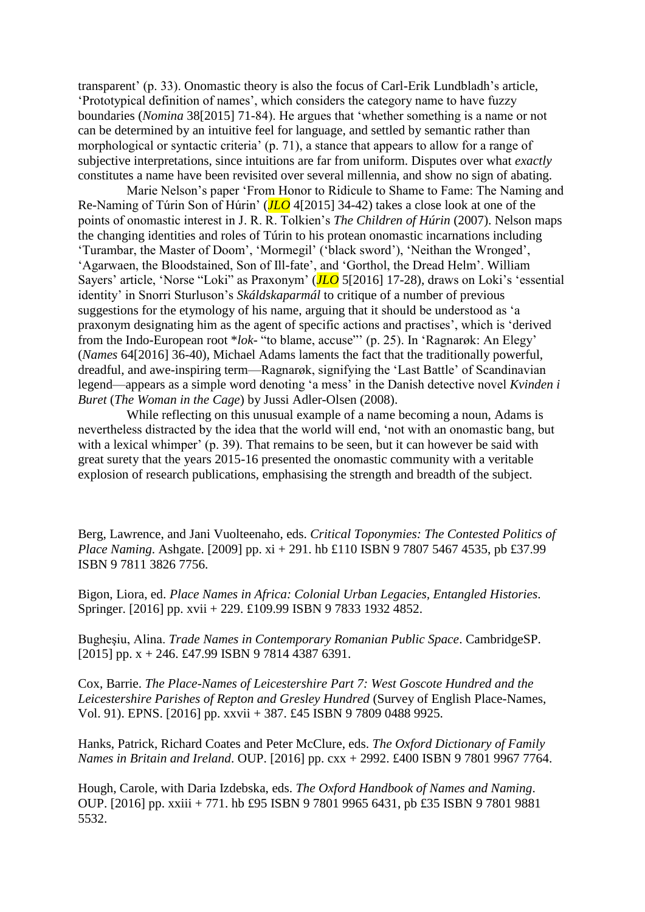transparent' (p. 33). Onomastic theory is also the focus of Carl-Erik Lundbladh's article, 'Prototypical definition of names', which considers the category name to have fuzzy boundaries (*Nomina* 38[2015] 71-84). He argues that 'whether something is a name or not can be determined by an intuitive feel for language, and settled by semantic rather than morphological or syntactic criteria' (p. 71), a stance that appears to allow for a range of subjective interpretations, since intuitions are far from uniform. Disputes over what *exactly* constitutes a name have been revisited over several millennia, and show no sign of abating.

Marie Nelson's paper 'From Honor to Ridicule to Shame to Fame: The Naming and Re-Naming of Túrin Son of Húrin' (*JLO* 4[2015] 34-42) takes a close look at one of the points of onomastic interest in J. R. R. Tolkien's *The Children of Húrin* (2007). Nelson maps the changing identities and roles of Túrin to his protean onomastic incarnations including 'Turambar, the Master of Doom', 'Mormegil' ('black sword'), 'Neithan the Wronged', 'Agarwaen, the Bloodstained, Son of Ill-fate', and 'Gorthol, the Dread Helm'. William Sayers' article, 'Norse "Loki" as Praxonym' (*JLO* 5[2016] 17-28), draws on Loki's 'essential identity' in Snorri Sturluson's *Skáldskaparmál* to critique of a number of previous suggestions for the etymology of his name, arguing that it should be understood as 'a praxonym designating him as the agent of specific actions and practises', which is 'derived from the Indo-European root \**lok*- "to blame, accuse"' (p. 25). In 'Ragnarøk: An Elegy' (*Names* 64[2016] 36-40), Michael Adams laments the fact that the traditionally powerful, dreadful, and awe-inspiring term—Ragnarøk, signifying the 'Last Battle' of Scandinavian legend—appears as a simple word denoting 'a mess' in the Danish detective novel *Kvinden i Buret* (*The Woman in the Cage*) by Jussi Adler-Olsen (2008).

While reflecting on this unusual example of a name becoming a noun, Adams is nevertheless distracted by the idea that the world will end, 'not with an onomastic bang, but with a lexical whimper' (p. 39). That remains to be seen, but it can however be said with great surety that the years 2015-16 presented the onomastic community with a veritable explosion of research publications, emphasising the strength and breadth of the subject.

Berg, Lawrence, and Jani Vuolteenaho, eds. *Critical Toponymies: The Contested Politics of Place Naming*. Ashgate. [2009] pp. xi + 291. hb £110 ISBN 9 7807 5467 4535, pb £37.99 ISBN 9 7811 3826 7756.

Bigon, Liora, ed. *Place Names in Africa: Colonial Urban Legacies, Entangled Histories*. Springer. [2016] pp. xvii + 229. £109.99 ISBN 9 7833 1932 4852.

Bugheşiu, Alina. *Trade Names in Contemporary Romanian Public Space*. CambridgeSP. [2015] pp.  $x + 246$ . £47.99 ISBN 9 7814 4387 6391.

Cox, Barrie. *The Place-Names of Leicestershire Part 7: West Goscote Hundred and the Leicestershire Parishes of Repton and Gresley Hundred* (Survey of English Place-Names, Vol. 91). EPNS. [2016] pp. xxvii + 387. £45 ISBN 9 7809 0488 9925.

Hanks, Patrick, Richard Coates and Peter McClure, eds. *The Oxford Dictionary of Family Names in Britain and Ireland*. OUP. [2016] pp. cxx + 2992. £400 ISBN 9 7801 9967 7764.

Hough, Carole, with Daria Izdebska, eds. *The Oxford Handbook of Names and Naming*. OUP. [2016] pp. xxiii + 771. hb £95 ISBN 9 7801 9965 6431, pb £35 ISBN 9 7801 9881 5532.